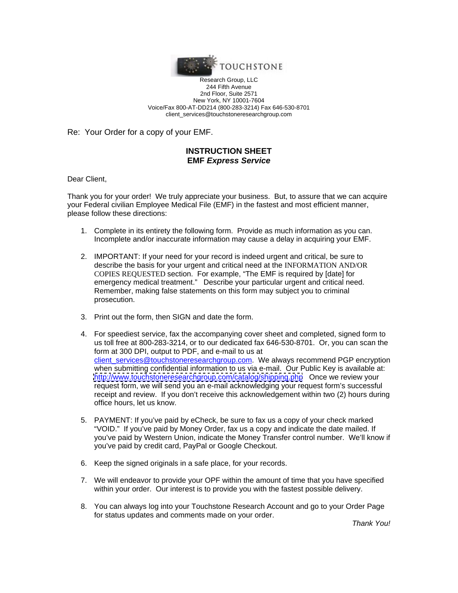

Research Group, LLC 244 Fifth Avenue 2nd Floor, Suite 2571 New York, NY 10001-7604 Voice/Fax 800-AT-DD214 (800-283-3214) Fax 646-530-8701 client\_services@touchstoneresearchgroup.com

Re: Your Order for a copy of your EMF.

### **INSTRUCTION SHEET EMF Express Service**

Dear Client,

Thank you for your order! We truly appreciate your business. But, to assure that we can acquire your Federal civilian Employee Medical File (EMF) in the fastest and most efficient manner, please follow these directions:

- 1. Complete in its entirety the following form. Provide as much information as you can. Incomplete and/or inaccurate information may cause a delay in acquiring your EMF.
- 2. IMPORTANT: If your need for your record is indeed urgent and critical, be sure to describe the basis for your urgent and critical need at the INFORMATION AND/OR COPIES REQUESTED section. For example, "The EMF is required by [date] for Remember, making false statements on this form may subject you to criminal prosecution. The contract of the contract of the contract of the contract of the contract of the contract of the contract of the contract of the contract of the contract of the contract of the contract of the contract of t
- 3. Print out the form, then SIGN and date the form.
- 4. For speediest service, fax the accompanying cover sheet and completed, signed form to us toll free at 800-283-3214, or to our dedicated fax 646-530-8701. Or, you can scan the form at 300 DPI, output to PDF, and e-mail to us at client\_services@touchstoneresearchgroup.com. We always recommend PGP encryption when submitting confidential information to us via e-mail. Our Public Key is available at: <http://www.touchstoneresearchgroup.com/catalog/shipping.php> Once we review your request form, we will send you an e-mail acknowledging your request form's successful receipt and review. If you don't receive this acknowledgement within two (2) hours during office hours, let us know.
- 5. PAYMENT: If you've paid by eCheck, be sure to fax us a copy of your check marked "VOID." If you've paid by Money Order, fax us a copy and indicate the date mailed. If you've paid by Western Union, indicate the Money Transfer control number. We'll know if you've paid by credit card, PayPal or Google Checkout.
- 6. Keep the signed originals in a safe place, for your records.
- 7. We will endeavor to provide your OPF within the amount of time that you have specified
- within your order. Our interest is to provide you with the fastest possible delivery.<br>8. You can always log into your Touchstone Research Account and go to your Order Page for status updates and comments made on your order.

Thank You!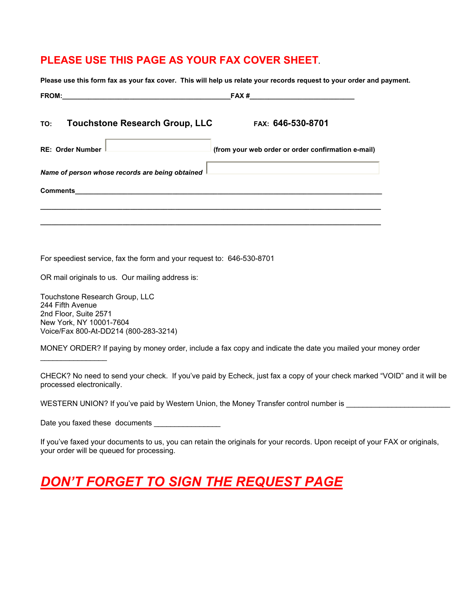## **PLEASE USE THIS PAGE AS YOUR FAX COVER SHEET.**

| TO: Touchstone Research Group, LLC                                                                 | FAX: 646-530-8701                                  |
|----------------------------------------------------------------------------------------------------|----------------------------------------------------|
| RE: Order Number<br>and the control of the control of the control of the control of the control of | (from your web order or order confirmation e-mail) |
| Name of person whose records are being obtained I                                                  |                                                    |
| Comments                                                                                           |                                                    |

For speediest service, fax the form and your request to: 646-530-8701

OR mail originals to us. Our mailing address is:

Touchstone Research Group, LLC 244 Fifth Avenue 2nd Floor, Suite 2571 New York, NY 10001-7604 Voice/Fax 800-At-DD214 (800-283-3214)

 $\overline{\phantom{a}}$  , where  $\overline{\phantom{a}}$ 

MONEY ORDER? If paying by money order, include a fax copy and indicate the date you mailed your money order

CHECK? No need to send your check. If you've paid by Echeck, just fax a copy of your check marked "VOID" and it will be processed electronically.

WESTERN UNION? If you've paid by Western Union, the Money Transfer control number is

Date you faxed these documents \_\_\_\_\_\_\_\_\_\_\_\_\_\_\_\_

If you've faxed your documents to us, you can retain the originals for your records. Upon receipt of your FAX or originals, your order will be queued for processing.

# *DON'T FORGET TO SIGN THE REQUEST PAGE*